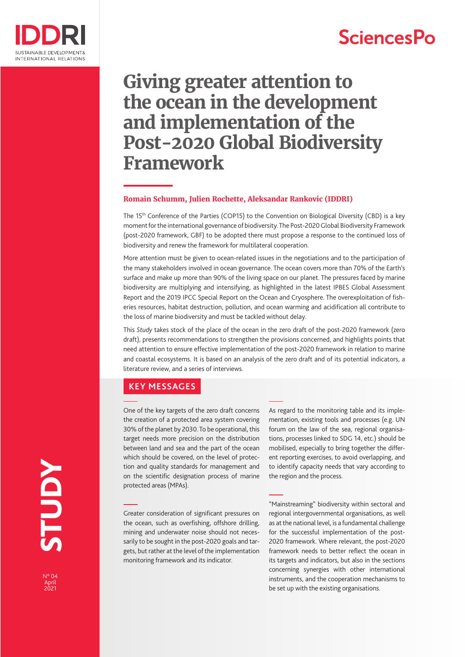

# **SciencesPo**

## **Giving greater attention to the ocean in the development and implementation of the Post-2020 Global Biodiversity Framework**

#### **Romain Schumm, Julien Rochette, Aleksandar Rankovic (IDDRI)**

The 15th Conference of the Parties (COP15) to the Convention on Biological Diversity (CBD) is a key moment for the international governance of biodiversity. The Post-2020 Global Biodiversity Framework (post-2020 framework, GBF) to be adopted there must propose a response to the continued loss of biodiversity and renew the framework for multilateral cooperation.

More attention must be given to ocean-related issues in the negotiations and to the participation of the many stakeholders involved in ocean governance. The ocean covers more than 70% of the Earth's surface and make up more than 90% of the living space on our planet. The pressures faced by marine biodiversity are multiplying and intensifying, as highlighted in the latest IPBES Global Assessment Report and the 2019 IPCC Special Report on the Ocean and Cryosphere. The overexploitation of fisheries resources, habitat destruction, pollution, and ocean warming and acidification all contribute to the loss of marine biodiversity and must be tackled without delay.

This *Study* takes stock of the place of the ocean in the zero draft of the post-2020 framework (zero draft), presents recommendations to strengthen the provisions concerned, and highlights points that need attention to ensure effective implementation of the post-2020 framework in relation to marine and coastal ecosystems. It is based on an analysis of the zero draft and of its potential indicators, a literature review, and a series of interviews.

### **KEY MESSAGES**

One of the key targets of the zero draft concerns the creation of a protected area system covering 30% of the planet by 2030. To be operational, this target needs more precision on the distribution between land and sea and the part of the ocean which should be covered, on the level of protection and quality standards for management and on the scientific designation process of marine protected areas (MPAs).

Greater consideration of significant pressures on the ocean, such as overfishing, offshore drilling, mining and underwater noise should not necessarily to be sought in the post-2020 goals and targets, but rather at the level of the implementation monitoring framework and its indicator.

As regard to the monitoring table and its implementation, existing tools and processes (e.g. UN forum on the law of the sea, regional organisations, processes linked to SDG 14, etc.) should be mobilised, especially to bring together the different reporting exercises, to avoid overlapping, and to identify capacity needs that vary according to the region and the process.

"Mainstreaming" biodiversity within sectoral and regional intergovernmental organisations, as well as at the national level, is a fundamental challenge for the successful implementation of the post-2020 framework. Where relevant, the post-2020 framework needs to better reflect the ocean in its targets and indicators, but also in the sections concerning synergies with other international instruments, and the cooperation mechanisms to be set up with the existing organisations.

**2021 STUDY NCNLS** 

N° 04 April<br>2021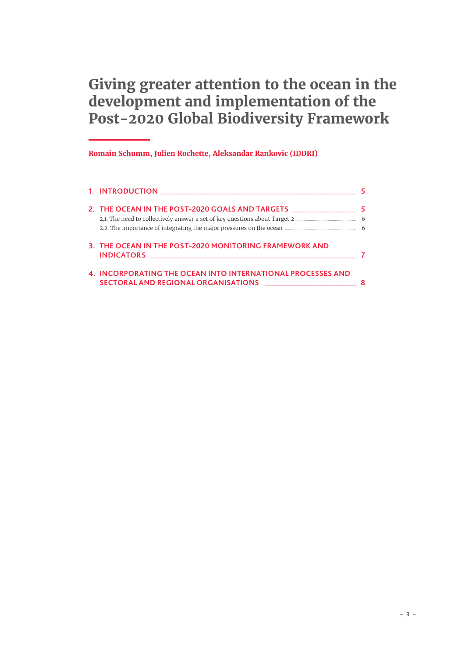## **Giving greater attention to the ocean in the development and implementation of the Post-2020 Global Biodiversity Framework**

**Romain Schumm, Julien Rochette, Aleksandar Rankovic (IDDRI)**

|  | 2. THE OCEAN IN THE POST-2020 GOALS AND TARGETS _________________________________                                                                     |  |
|--|-------------------------------------------------------------------------------------------------------------------------------------------------------|--|
|  |                                                                                                                                                       |  |
|  |                                                                                                                                                       |  |
|  | 3. THE OCEAN IN THE POST-2020 MONITORING FRAMEWORK AND<br><b>INDICATORS Example 20</b>                                                                |  |
|  | <b>4. INCORPORATING THE OCEAN INTO INTERNATIONAL PROCESSES AND</b><br>SECTORAL AND REGIONAL ORGANISATIONS <b>CONSUMING AND REGIONAL ORGANISATIONS</b> |  |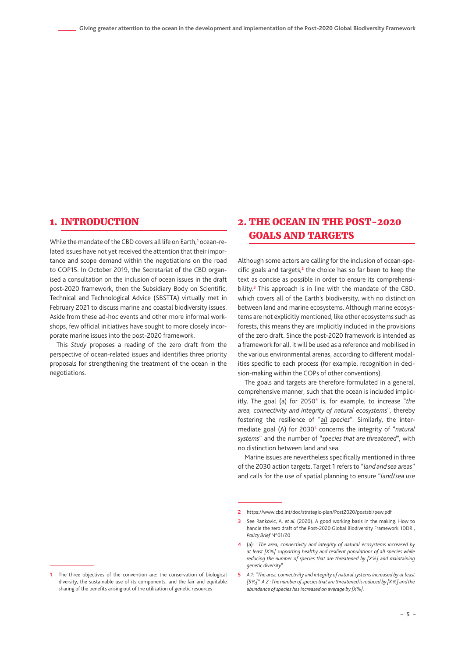#### <span id="page-4-0"></span>1. INTRODUCTION

While the mandate of the CBD covers all life on Earth,<sup>1</sup> ocean-related issues have not yet received the attention that their importance and scope demand within the negotiations on the road to COP15. In October 2019, the Secretariat of the CBD organised a consultation on the inclusion of ocean issues in the draft post-2020 framework, then the Subsidiary Body on Scientific, Technical and Technological Advice (SBSTTA) virtually met in February 2021 to discuss marine and coastal biodiversity issues. Aside from these ad-hoc events and other more informal workshops, few official initiatives have sought to more closely incorporate marine issues into the post-2020 framework.

This *Study* proposes a reading of the zero draft from the perspective of ocean-related issues and identifies three priority proposals for strengthening the treatment of the ocean in the negotiations.

### 2. THE OCEAN IN THE POST-2020 GOALS AND TARGETS

Although some actors are calling for the inclusion of ocean-specific goals and targets,**<sup>2</sup>** the choice has so far been to keep the text as concise as possible in order to ensure its comprehensibility.**<sup>3</sup>** This approach is in line with the mandate of the CBD, which covers all of the Earth's biodiversity, with no distinction between land and marine ecosystems. Although marine ecosystems are not explicitly mentioned, like other ecosystems such as forests, this means they are implicitly included in the provisions of the zero draft. Since the post-2020 framework is intended as a framework for all, it will be used as a reference and mobilised in the various environmental arenas, according to different modalities specific to each process (for example, recognition in decision-making within the COPs of other conventions).

The goals and targets are therefore formulated in a general, comprehensive manner, such that the ocean is included implicitly. The goal (a) for 2050**<sup>4</sup>** is, for example, to increase "*the area, connectivity and integrity of natural ecosystems*", thereby fostering the resilience of "*all species*". Similarly, the intermediate goal (A) for 2030**<sup>5</sup>** concerns the integrity of "*natural systems*" and the number of "*species that are threatened*", with no distinction between land and sea.

Marine issues are nevertheless specifically mentioned in three of the 2030 action targets. Target 1 refers to "*land and sea areas*" and calls for the use of spatial planning to ensure "*land/sea use* 

**<sup>2</sup>** <https://www.cbd.int/doc/strategic-plan/Post2020/postsbi/pew.pdf>

**<sup>3</sup>** See Rankovic, A. *et al.* (2020). A good working basis in the making. How to handle the zero draft of the Post-2020 Global Biodiversity Framework. IDDRI, *Policy Brief* N°01/20

**<sup>4</sup>** (a): "*The area, connectivity and integrity of natural ecosystems increased by at least [X%] supporting healthy and resilient populations of all species while reducing the number of species that are threatened by [X%] and maintaining genetic diversity*".

**<sup>5</sup>** *A.1: "The area, connectivity and integrity of natural systems increased by at least [5%]". A.2 : The number of species that are threatened is reduced by [X%] and the abundance of species has increased on average by [X%].* 

**<sup>1</sup>** The three objectives of the convention are: the conservation of biological diversity, the sustainable use of its components, and the fair and equitable sharing of the benefits arising out of the utilization of genetic resources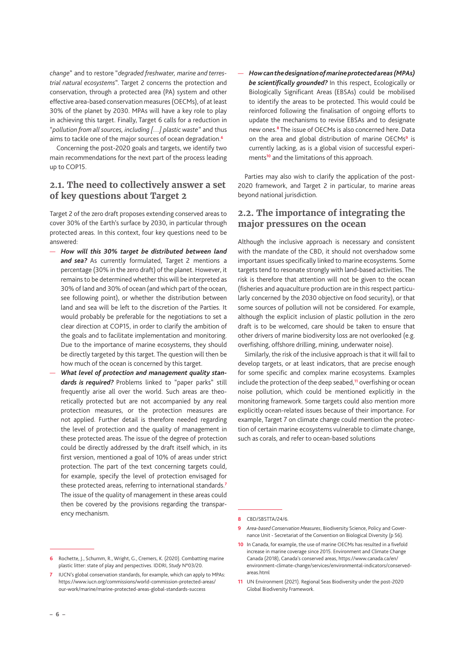<span id="page-5-0"></span>*change*" and to restore "*degraded freshwater, marine and terrestrial natural ecosystems*". Target 2 concerns the protection and conservation, through a protected area (PA) system and other effective area-based conservation measures(OECMs), of at least 30% of the planet by 2030. MPAs will have a key role to play in achieving this target. Finally, Target 6 calls for a reduction in "*pollution from all sources, including […] plastic waste"* and thus aims to tackle one of the major sources of ocean degradation.**<sup>6</sup>**

Concerning the post-2020 goals and targets, we identify two main recommendations for the next part of the process leading up to COP15.

#### **2.1. The need to collectively answer a set of key questions about Target 2**

Target 2 of the zero draft proposes extending conserved areas to cover 30% of the Earth's surface by 2030, in particular through protected areas. In this context, four key questions need to be answered:

- *How will this 30% target be distributed between land and sea?* As currently formulated, Target 2 mentions a percentage (30% in the zero draft) of the planet. However, it remains to be determined whether this will be interpreted as 30% of land and 30% of ocean (and which part of the ocean, see following point), or whether the distribution between land and sea will be left to the discretion of the Parties. It would probably be preferable for the negotiations to set a clear direction at COP15, in order to clarify the ambition of the goals and to facilitate implementation and monitoring. Due to the importance of marine ecosystems, they should be directly targeted by this target. The question will then be how much of the ocean is concerned by this target.
- *What level of protection and management quality standards is required?* Problems linked to "paper parks" still frequently arise all over the world. Such areas are theoretically protected but are not accompanied by any real protection measures, or the protection measures are not applied. Further detail is therefore needed regarding the level of protection and the quality of management in these protected areas. The issue of the degree of protection could be directly addressed by the draft itself which, in its first version, mentioned a goal of 10% of areas under strict protection. The part of the text concerning targets could, for example, specify the level of protection envisaged for these protected areas, referring to international standards.**<sup>7</sup>** The issue of the quality of management in these areas could then be covered by the provisions regarding the transparency mechanism.
- **6** Rochette, J., Schumm, R., Wright, G., Cremers, K. (2020). Combatting marine plastic litter: state of play and perspectives. IDDRI, *Study* N°03/20.
- **7** IUCN's global conservation standards, for example, which can apply to MPAs: https://www.iucn.org/commissions/world-commission-protected-areas/ our-work/marine/marine-protected-areas-global-standards-success

— *How can the designation of marine protected areas(MPAs) be scientifically grounded?* In this respect, Ecologically or Biologically Significant Areas (EBSAs) could be mobilised to identify the areas to be protected. This would could be reinforced following the finalisation of ongoing efforts to update the mechanisms to revise EBSAs and to designate new ones.**<sup>8</sup>** The issue of OECMs is also concerned here. Data on the area and global distribution of marine OECMs**<sup>9</sup>** is currently lacking, as is a global vision of successful experiments**<sup>10</sup>** and the limitations of this approach.

Parties may also wish to clarify the application of the post-2020 framework, and Target 2 in particular, to marine areas beyond national jurisdiction.

#### **2.2. The importance of integrating the major pressures on the ocean**

Although the inclusive approach is necessary and consistent with the mandate of the CBD, it should not overshadow some important issues specifically linked to marine ecosystems. Some targets tend to resonate strongly with land-based activities. The risk is therefore that attention will not be given to the ocean (fisheries and aquaculture production are in this respect particularly concerned by the 2030 objective on food security), or that some sources of pollution will not be considered. For example, although the explicit inclusion of plastic pollution in the zero draft is to be welcomed, care should be taken to ensure that other drivers of marine biodiversity loss are not overlooked (e.g. overfishing, offshore drilling, mining, underwater noise).

Similarly, the risk of the inclusive approach is that it will fail to develop targets, or at least indicators, that are precise enough for some specific and complex marine ecosystems. Examples include the protection of the deep seabed,**<sup>11</sup>** overfishing or ocean noise pollution, which could be mentioned explicitly in the monitoring framework. Some targets could also mention more explicitly ocean-related issues because of their importance. For example, Target 7 on climate change could mention the protection of certain marine ecosystems vulnerable to climate change, such as corals, and refer to ocean-based solutions

**9** *Area-based Conservation Measures*, Biodiversity Science, Policy and Governance Unit - Secretariat of the Convention on Biological Diversity (p 56).

**11** UN Environment (2021). Regional Seas Biodiversity under the post-2020 Global Biodiversity Framework.

**<sup>8</sup>** CBD/SBSTTA/24/6.

**<sup>10</sup>** In Canada, for example, the use of marine OECMs has resulted in a fivefold increase in marine coverage since 2015. Environment and Climate Change Canada (2018), Canada's conserved areas, [https://www.canada.ca/en/](https://www.canada.ca/en/environment-climate-change/services/environmental-indicators/conserved-areas.html) [environment-climate-change/services/environmental-indicators/conserved](https://www.canada.ca/en/environment-climate-change/services/environmental-indicators/conserved-areas.html)[areas.html](https://www.canada.ca/en/environment-climate-change/services/environmental-indicators/conserved-areas.html)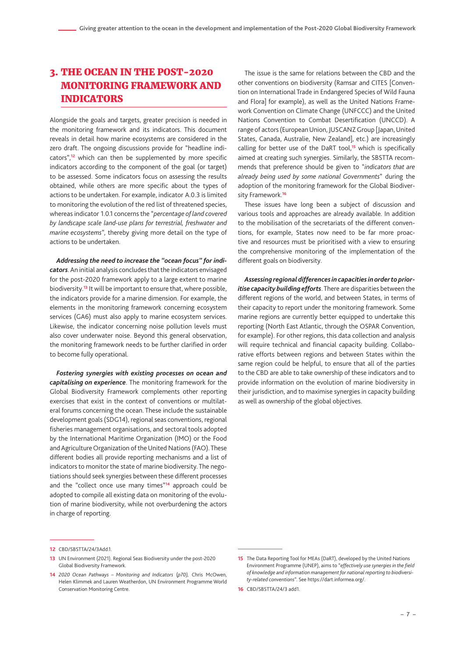### <span id="page-6-0"></span>3. THE OCEAN IN THE POST-2020 MONITORING FRAMEWORK AND INDICATORS

Alongside the goals and targets, greater precision is needed in the monitoring framework and its indicators. This document reveals in detail how marine ecosystems are considered in the zero draft. The ongoing discussions provide for "headline indicators",**<sup>12</sup>** which can then be supplemented by more specific indicators according to the component of the goal (or target) to be assessed. Some indicators focus on assessing the results obtained, while others are more specific about the types of actions to be undertaken. For example, indicator A.0.3 is limited to monitoring the evolution of the red list of threatened species, whereas indicator 1.0.1 concerns the "*percentage of land covered by landscape scale land-use plans for terrestrial, freshwater and marine ecosystems*", thereby giving more detail on the type of actions to be undertaken.

*Addressing the need to increase the "ocean focus" for indicators*. An initial analysis concludes that the indicators envisaged for the post-2020 framework apply to a large extent to marine biodiversity.**<sup>13</sup>** It will be important to ensure that, where possible, the indicators provide for a marine dimension. For example, the elements in the monitoring framework concerning ecosystem services (GA6) must also apply to marine ecosystem services. Likewise, the indicator concerning noise pollution levels must also cover underwater noise. Beyond this general observation, the monitoring framework needs to be further clarified in order to become fully operational.

*Fostering synergies with existing processes on ocean and capitalising on experience*. The monitoring framework for the Global Biodiversity Framework complements other reporting exercises that exist in the context of conventions or multilateral forums concerning the ocean. These include the sustainable development goals (SDG14), regional seas conventions, regional fisheries management organisations, and sectoral tools adopted by the International Maritime Organization (IMO) or the Food and Agriculture Organization of the United Nations(FAO). These different bodies all provide reporting mechanisms and a list of indicators to monitor the state of marine biodiversity. The negotiations should seek synergies between these different processes and the "collect once use many times"**<sup>14</sup>** approach could be adopted to compile all existing data on monitoring of the evolution of marine biodiversity, while not overburdening the actors in charge of reporting.

The issue is the same for relations between the CBD and the other conventions on biodiversity (Ramsar and CITES [Convention on International Trade in Endangered Species of Wild Fauna and Flora] for example), as well as the United Nations Framework Convention on Climate Change (UNFCCC) and the United Nations Convention to Combat Desertification (UNCCD). A range of actors (European Union, JUSCANZ Group [Japan, United States, Canada, Australie, New Zealand], etc.) are increasingly calling for better use of the DaRT tool,**<sup>15</sup>** which is specifically aimed at creating such synergies. Similarly, the SBSTTA recommends that preference should be given to "*indicators that are already being used by some national Governments*" during the adoption of the monitoring framework for the Global Biodiversity Framework.**<sup>16</sup>**

These issues have long been a subject of discussion and various tools and approaches are already available. In addition to the mobilisation of the secretariats of the different conventions, for example, States now need to be far more proactive and resources must be prioritised with a view to ensuring the comprehensive monitoring of the implementation of the different goals on biodiversity.

*Assessing regional differences in capacities in order to prioritise capacity building efforts*. There are disparities between the different regions of the world, and between States, in terms of their capacity to report under the monitoring framework. Some marine regions are currently better equipped to undertake this reporting (North East Atlantic, through the OSPAR Convention, for example). For other regions, this data collection and analysis will require technical and financial capacity building. Collaborative efforts between regions and between States within the same region could be helpful, to ensure that all of the parties to the CBD are able to take ownership of these indicators and to provide information on the evolution of marine biodiversity in their jurisdiction, and to maximise synergies in capacity building as well as ownership of the global objectives.

**<sup>12</sup>** CBD/SBSTTA/24/3Add.1.

**<sup>13</sup>** UN Environment (2021). Regional Seas Biodiversity under the post-2020 Global Biodiversity Framework.

**<sup>14</sup>** *2020 Ocean Pathways – Monitoring and Indicators* (*p70),* Chris McOwen, Helen Klimmek and Lauren Weatherdon, UN Environment Programme World Conservation Monitoring Centre.

**<sup>15</sup>** The Data Reporting Tool for MEAs (DaRT), developed by the United Nations Environment Programme (UNEP), aims to "*effectively use synergies in the field of knowledge and information management for national reporting to biodiversity-related conventions*". See https://dart.informea.org/.

**<sup>16</sup>** CBD/SBSTTA/24/3 add1.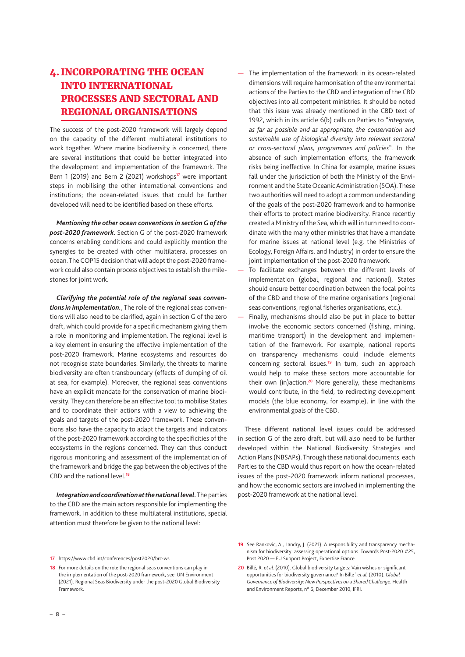### <span id="page-7-0"></span>4. INCORPORATING THE OCEAN INTO INTERNATIONAL PROCESSES AND SECTORAL AND REGIONAL ORGANISATIONS

The success of the post-2020 framework will largely depend on the capacity of the different multilateral institutions to work together. Where marine biodiversity is concerned, there are several institutions that could be better integrated into the development and implementation of the framework. The Bern 1 (2019) and Bern 2 (2021) workshops**<sup>17</sup>** were important steps in mobilising the other international conventions and institutions; the ocean-related issues that could be further developed will need to be identified based on these efforts.

*Mentioning the other ocean conventions in section G of the post-2020 framework.* Section G of the post-2020 framework concerns enabling conditions and could explicitly mention the synergies to be created with other multilateral processes on ocean. The COP15 decision that will adopt the post-2020 framework could also contain process objectives to establish the milestones for joint work.

*Clarifying the potential role of the regional seas conventions in implementation.*, The role of the regional seas conventions will also need to be clarified, again in section G of the zero draft, which could provide for a specific mechanism giving them a role in monitoring and implementation. The regional level is a key element in ensuring the effective implementation of the post-2020 framework. Marine ecosystems and resources do not recognise state boundaries. Similarly, the threats to marine biodiversity are often transboundary (effects of dumping of oil at sea, for example). Moreover, the regional seas conventions have an explicit mandate for the conservation of marine biodiversity. They can therefore be an effective tool to mobilise States and to coordinate their actions with a view to achieving the goals and targets of the post-2020 framework. These conventions also have the capacity to adapt the targets and indicators of the post-2020 framework according to the specificities of the ecosystems in the regions concerned. They can thus conduct rigorous monitoring and assessment of the implementation of the framework and bridge the gap between the objectives of the CBD and the national level.**<sup>18</sup>**

*Integration and coordination at the national level.* The parties to the CBD are the main actors responsible for implementing the framework. In addition to these multilateral institutions, special attention must therefore be given to the national level:

- To facilitate exchanges between the different levels of implementation (global, regional and national), States should ensure better coordination between the focal points of the CBD and those of the marine organisations (regional seas conventions, regional fisheries organisations, etc.).
- Finally, mechanisms should also be put in place to better involve the economic sectors concerned (fishing, mining, maritime transport) in the development and implementation of the framework. For example, national reports on transparency mechanisms could include elements concerning sectoral issues.**<sup>19</sup>** In turn, such an approach would help to make these sectors more accountable for their own (in)action.**<sup>20</sup>** More generally, these mechanisms would contribute, in the field, to redirecting development models (the blue economy, for example), in line with the environmental goals of the CBD.

These different national level issues could be addressed in section G of the zero draft, but will also need to be further developed within the National Biodiversity Strategies and Action Plans (NBSAPs). Through these national documents, each Parties to the CBD would thus report on how the ocean-related issues of the post-2020 framework inform national processes, and how the economic sectors are involved in implementing the post-2020 framework at the national level.

The implementation of the framework in its ocean-related dimensions will require harmonisation of the environmental actions of the Parties to the CBD and integration of the CBD objectives into all competent ministries. It should be noted that this issue was already mentioned in the CBD text of 1992, which in its article 6(b) calls on Parties to "*integrate, as far as possible and as appropriate, the conservation and sustainable use of biological diversity into relevant sectoral or cross-sectoral plans, programmes and policies*". In the absence of such implementation efforts, the framework risks being ineffective. In China for example, marine issues fall under the jurisdiction of both the Ministry of the Environment and the State Oceanic Administration (SOA). These two authorities will need to adopt a common understanding of the goals of the post-2020 framework and to harmonise their efforts to protect marine biodiversity. France recently created a Ministry of the Sea, which will in turn need to coordinate with the many other ministries that have a mandate for marine issues at national level (e.g. the Ministries of Ecology, Foreign Affairs, and Industry) in order to ensure the joint implementation of the post-2020 framework.

**<sup>17</sup>** <https://www.cbd.int/conferences/post2020/brc-ws>

**<sup>18</sup>** For more details on the role the regional seas conventions can play in the implementation of the post-2020 framework, see: UN Environment (2021). Regional Seas Biodiversity under the post-2020 Global Biodiversity Framework.

**<sup>19</sup>** See Rankovic, A., Landry, J. (2021). A responsibility and transparency mechanism for biodiversity: assessing operational options. Towards Post-2020 #25, Post 2020 — EU Support Project, Expertise France.

**<sup>20</sup>** Billé, R. *et al.* (2010). Global biodiversity targets: Vain wishes or significant opportunities for biodiversity governance? In Billé *et al.* (2010). *Global Governance of Biodiversity: New Perspectives on a Shared Challenge.* Health and Environment Reports, n° 6, December 2010, IFRI.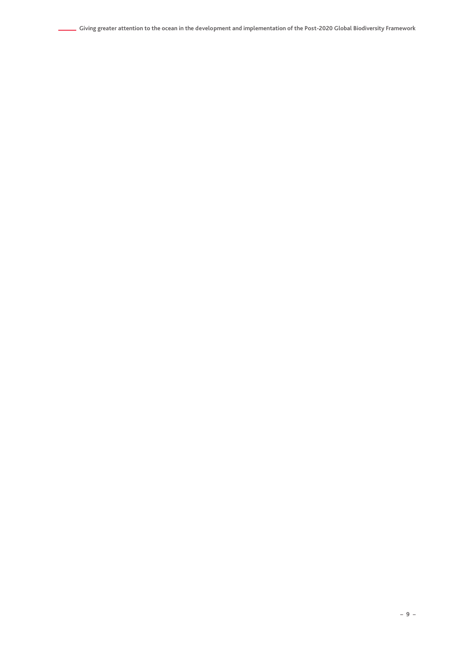Giving greater attention to the ocean in the development and implementation of the Post-2020 Global Biodiversity Framework